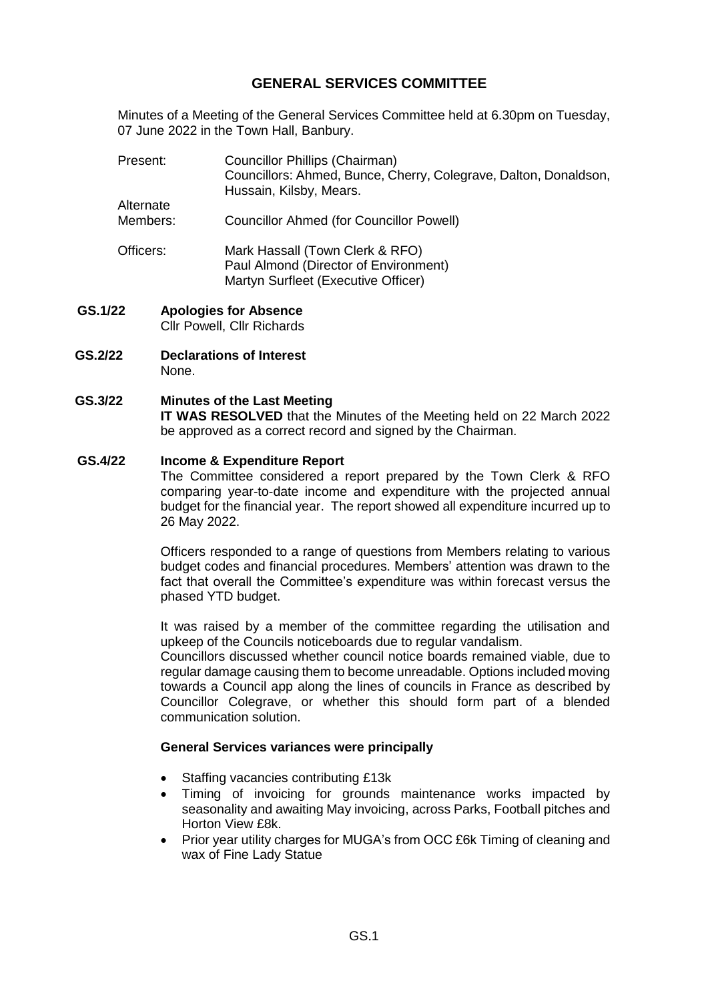# **GENERAL SERVICES COMMITTEE**

Minutes of a Meeting of the General Services Committee held at 6.30pm on Tuesday, 07 June 2022 in the Town Hall, Banbury.

| Present:                   | <b>Councillor Phillips (Chairman)</b><br>Councillors: Ahmed, Bunce, Cherry, Colegrave, Dalton, Donaldson,<br>Hussain, Kilsby, Mears. |
|----------------------------|--------------------------------------------------------------------------------------------------------------------------------------|
| Alternate                  |                                                                                                                                      |
| Members:                   | <b>Councillor Ahmed (for Councillor Powell)</b>                                                                                      |
| Officers:                  | Mark Hassall (Town Clerk & RFO)<br>Paul Almond (Director of Environment)<br>Martyn Surfleet (Executive Officer)                      |
| מ<br>Analagiac far Ahoonaa |                                                                                                                                      |

- **GS.1/22 Apologies for Absence** Cllr Powell, Cllr Richards
- **GS.2/22 Declarations of Interest**  None.

### **GS.3/22 Minutes of the Last Meeting**

**IT WAS RESOLVED** that the Minutes of the Meeting held on 22 March 2022 be approved as a correct record and signed by the Chairman.

#### **GS.4/22 Income & Expenditure Report**

The Committee considered a report prepared by the Town Clerk & RFO comparing year-to-date income and expenditure with the projected annual budget for the financial year. The report showed all expenditure incurred up to 26 May 2022.

Officers responded to a range of questions from Members relating to various budget codes and financial procedures. Members' attention was drawn to the fact that overall the Committee's expenditure was within forecast versus the phased YTD budget.

It was raised by a member of the committee regarding the utilisation and upkeep of the Councils noticeboards due to regular vandalism.

Councillors discussed whether council notice boards remained viable, due to regular damage causing them to become unreadable. Options included moving towards a Council app along the lines of councils in France as described by Councillor Colegrave, or whether this should form part of a blended communication solution.

#### **General Services variances were principally**

- Staffing vacancies contributing £13k
- Timing of invoicing for grounds maintenance works impacted by seasonality and awaiting May invoicing, across Parks, Football pitches and Horton View £8k.
- Prior year utility charges for MUGA's from OCC £6k Timing of cleaning and wax of Fine Lady Statue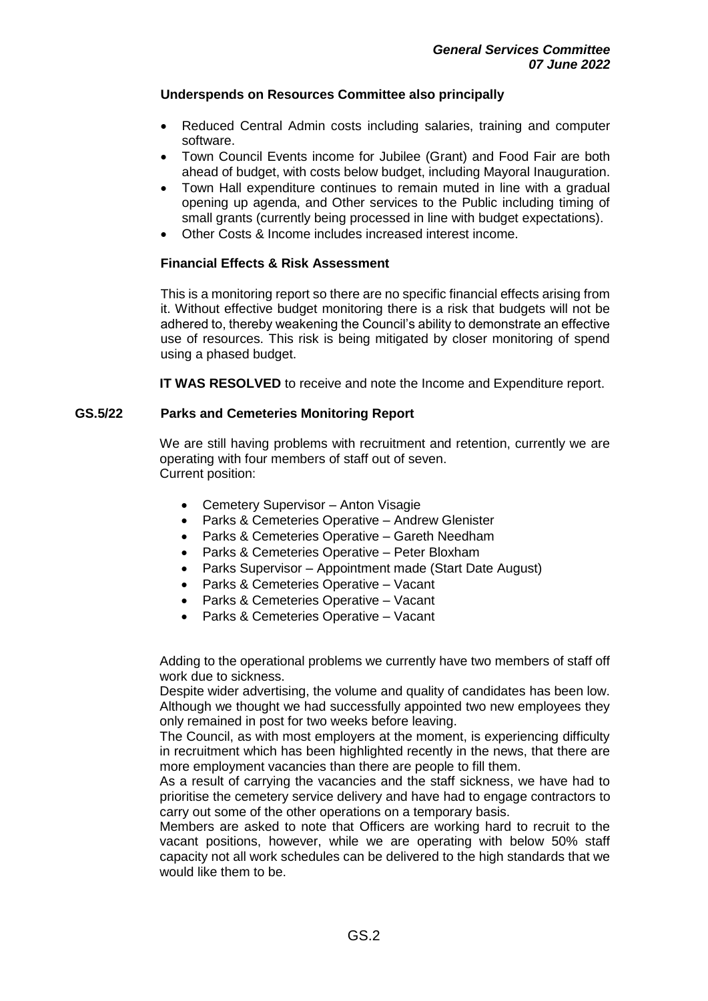#### **Underspends on Resources Committee also principally**

- Reduced Central Admin costs including salaries, training and computer software.
- Town Council Events income for Jubilee (Grant) and Food Fair are both ahead of budget, with costs below budget, including Mayoral Inauguration.
- Town Hall expenditure continues to remain muted in line with a gradual opening up agenda, and Other services to the Public including timing of small grants (currently being processed in line with budget expectations).
- Other Costs & Income includes increased interest income.

#### **Financial Effects & Risk Assessment**

This is a monitoring report so there are no specific financial effects arising from it. Without effective budget monitoring there is a risk that budgets will not be adhered to, thereby weakening the Council's ability to demonstrate an effective use of resources. This risk is being mitigated by closer monitoring of spend using a phased budget.

**IT WAS RESOLVED** to receive and note the Income and Expenditure report.

#### **GS.5/22 Parks and Cemeteries Monitoring Report**

We are still having problems with recruitment and retention, currently we are operating with four members of staff out of seven. Current position:

- Cemetery Supervisor Anton Visagie
- Parks & Cemeteries Operative Andrew Glenister
- Parks & Cemeteries Operative Gareth Needham
- Parks & Cemeteries Operative Peter Bloxham
- Parks Supervisor Appointment made (Start Date August)
- Parks & Cemeteries Operative Vacant
- Parks & Cemeteries Operative Vacant
- Parks & Cemeteries Operative Vacant

Adding to the operational problems we currently have two members of staff off work due to sickness.

Despite wider advertising, the volume and quality of candidates has been low. Although we thought we had successfully appointed two new employees they only remained in post for two weeks before leaving.

The Council, as with most employers at the moment, is experiencing difficulty in recruitment which has been highlighted recently in the news, that there are more employment vacancies than there are people to fill them.

As a result of carrying the vacancies and the staff sickness, we have had to prioritise the cemetery service delivery and have had to engage contractors to carry out some of the other operations on a temporary basis.

Members are asked to note that Officers are working hard to recruit to the vacant positions, however, while we are operating with below 50% staff capacity not all work schedules can be delivered to the high standards that we would like them to be.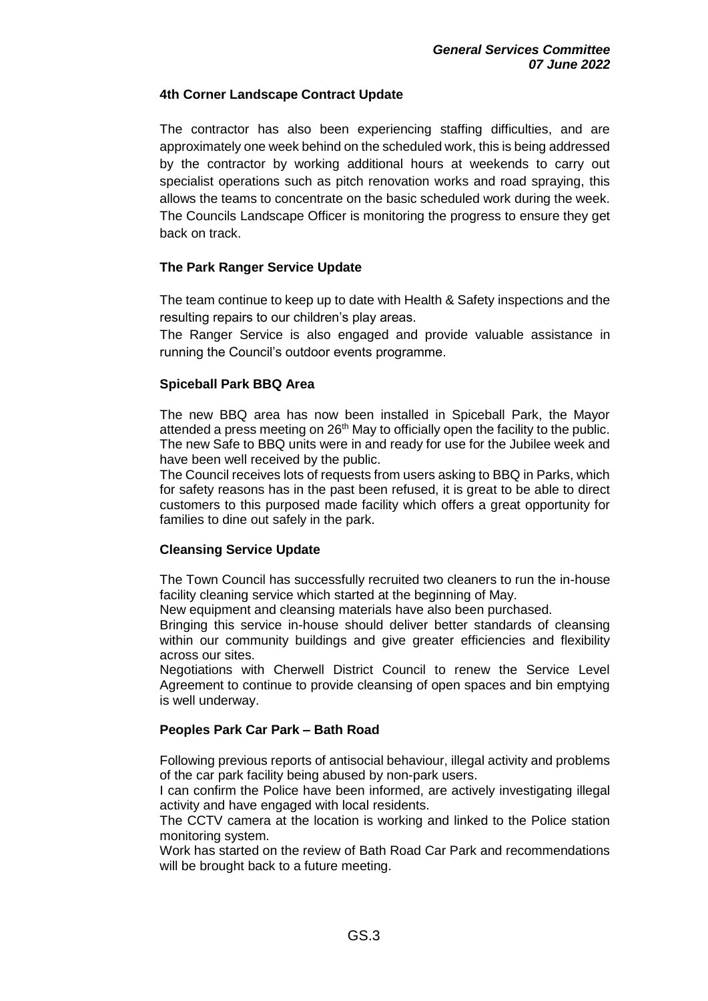#### **4th Corner Landscape Contract Update**

The contractor has also been experiencing staffing difficulties, and are approximately one week behind on the scheduled work, this is being addressed by the contractor by working additional hours at weekends to carry out specialist operations such as pitch renovation works and road spraying, this allows the teams to concentrate on the basic scheduled work during the week. The Councils Landscape Officer is monitoring the progress to ensure they get back on track.

### **The Park Ranger Service Update**

The team continue to keep up to date with Health & Safety inspections and the resulting repairs to our children's play areas.

The Ranger Service is also engaged and provide valuable assistance in running the Council's outdoor events programme.

### **Spiceball Park BBQ Area**

The new BBQ area has now been installed in Spiceball Park, the Mayor attended a press meeting on 26<sup>th</sup> May to officially open the facility to the public. The new Safe to BBQ units were in and ready for use for the Jubilee week and have been well received by the public.

The Council receives lots of requests from users asking to BBQ in Parks, which for safety reasons has in the past been refused, it is great to be able to direct customers to this purposed made facility which offers a great opportunity for families to dine out safely in the park.

## **Cleansing Service Update**

The Town Council has successfully recruited two cleaners to run the in-house facility cleaning service which started at the beginning of May.

New equipment and cleansing materials have also been purchased.

Bringing this service in-house should deliver better standards of cleansing within our community buildings and give greater efficiencies and flexibility across our sites.

Negotiations with Cherwell District Council to renew the Service Level Agreement to continue to provide cleansing of open spaces and bin emptying is well underway.

## **Peoples Park Car Park – Bath Road**

Following previous reports of antisocial behaviour, illegal activity and problems of the car park facility being abused by non-park users.

I can confirm the Police have been informed, are actively investigating illegal activity and have engaged with local residents.

The CCTV camera at the location is working and linked to the Police station monitoring system.

Work has started on the review of Bath Road Car Park and recommendations will be brought back to a future meeting.